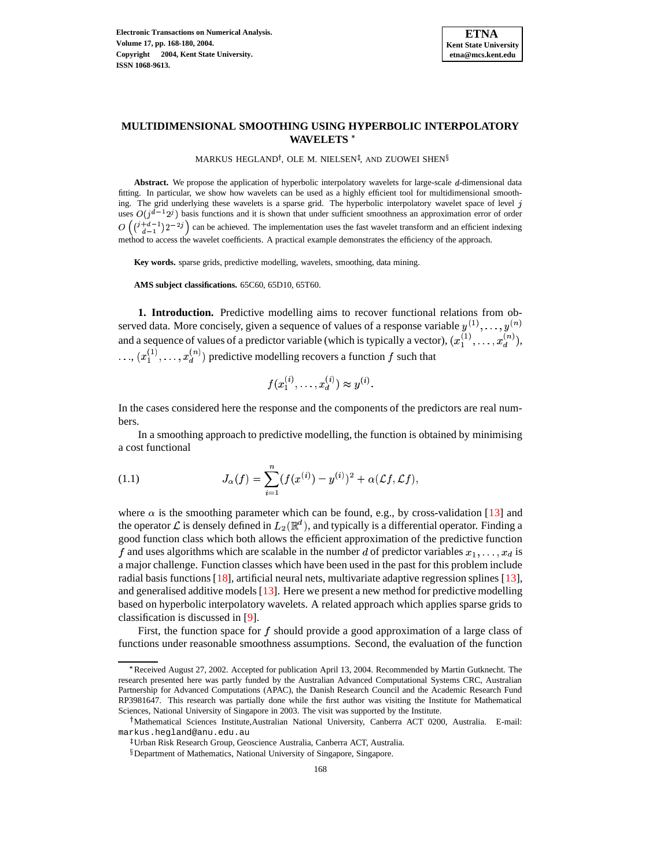

# **MULTIDIMENSIONAL SMOOTHING USING HYPERBOLIC INTERPOLATORY WAVELETS**

MARKUS HEGLAND<sup>†</sup>, OLE M. NIELSEN<sup>‡</sup>, AND ZUOWEI SHEN $^{\S}$ 

Abstract. We propose the application of hyperbolic interpolatory wavelets for large-scale d-dimensional data fitting. In particular, we show how wavelets can be used as a highly efficient tool for multidimensional smoothing. The grid underlying these wavelets is a sparse grid. The hyperbolic interpolatory wavelet space of level j uses  $O(j^{d-1}2^j)$  basis functions and it is shown that under sufficient smoothness an approximation error of order  $O\left(\binom{3+d-1}{d-1}2^{-2j}\right)$  can be achieved. The implementation uses the fast wavelet transform and an efficient indexing method to access the wavelet coefficients. A practical example demonstrates the efficiency of the approach.

**Key words.** sparse grids, predictive modelling, wavelets, smoothing, data mining.

**AMS subject classifications.** 65C60, 65D10, 65T60.

**1. Introduction.** Predictive modelling aims to recover functional relations from observed data. More concisely, given a sequence of values of a response variable  $y^{(1)}, \ldots, y^{(n)}$ and a sequence of values of a predictor variable (which is typically a vector),  $(x_1^{(1)}, \ldots, x_d^{(n)})$ ,  $\ldots, (x_1^{(1)}, \ldots, x_d^{(n)})$  predictive modelling recovers a function f such that

$$
f(x_1^{(i)},\ldots,x_d^{(i)}) \approx y^{(i)}.
$$

In the cases considered here the response and the components of the predictors are real numbers.

In a smoothing approach to predictive modelling, the function is obtained by minimising a cost functional

(1.1) 
$$
J_{\alpha}(f) = \sum_{i=1}^{n} (f(x^{(i)}) - y^{(i)})^2 + \alpha(\mathcal{L}f, \mathcal{L}f),
$$

where  $\alpha$  is the smoothing parameter which can be found, e.g., by cross-validation [\[13\]](#page-12-0) and the operator  $\mathcal L$  is densely defined in  $L_2(\mathbb R^d)$ , and typicall good function class which both allows the efficient approximation of the predictive function  $^d$ ), and typically is a differential operator. Finding a f and uses algorithms which are scalable in the number d of predictor variables  $x_1, \ldots, x_d$  is a major challenge. Function classes which have been used in the past for this problem include radial basis functions  $[18]$ , artificial neural nets, multivariate adaptive regression splines  $[13]$ , and generalised additive models [\[13\]](#page-12-0). Here we present a new method for predictive modelling based on hyperbolic interpolatory wavelets. A related approach which applies sparse grids to classification is discussed in [\[9\]](#page-12-2).

First, the function space for  $f$  should provide a good approximation of a large class of functions under reasonable smoothness assumptions. Second, the evaluation of the function

<sup>Q</sup> Received August 27, 2002. Accepted for publication April 13, 2004. Recommended by Martin Gutknecht. The research presented here was partly funded by the Australian Advanced Computational Systems CRC, Australian Partnership for Advanced Computations (APAC), the Danish Research Council and the Academic Research Fund RP3981647. This research was partially done while the first author was visiting the Institute for Mathematical Sciences, National University of Singapore in 2003. The visit was supported by the Institute.

<sup>&</sup>lt;sup>†</sup>Mathematical Sciences Institute,Australian National University, Canberra ACT 0200, Australia. E-mail: markus.hegland@anu.edu.au

<sup>-</sup> Urban Risk Research Group, Geoscience Australia, Canberra ACT, Australia.

Department of Mathematics, National University of Singapore, Singapore.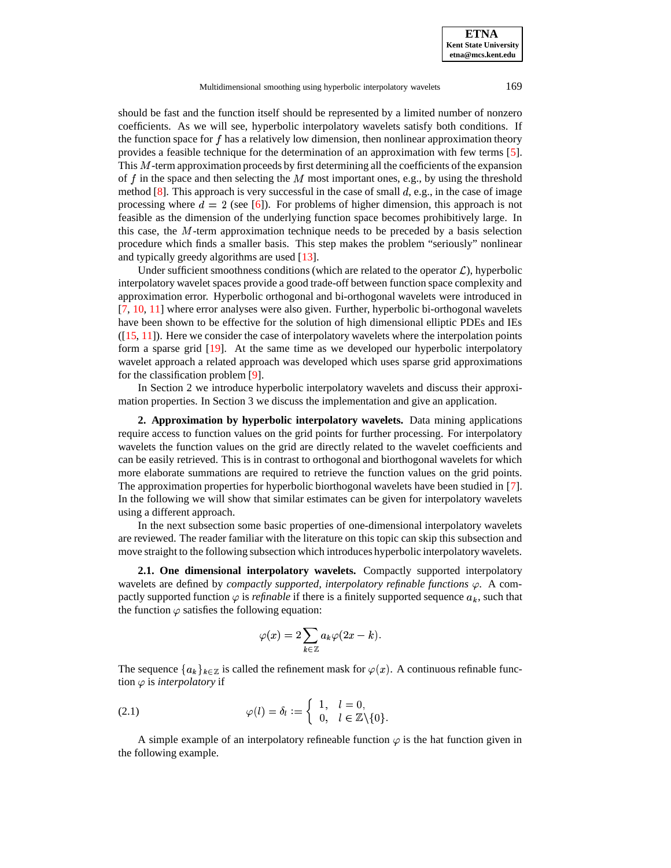**ETNA Kent State University etna@mcs.kent.edu**

Multidimensional smoothing using hyperbolic interpolatory wavelets 169

should be fast and the function itself should be represented by a limited number of nonzero coefficients. As we will see, hyperbolic interpolatory wavelets satisfy both conditions. If the function space for  $f$  has a relatively low dimension, then nonlinear approximation theory provides a feasible technique for the determination of an approximation with few terms [\[5\]](#page-12-3). This  $M$ -term approximation proceeds by first determining all the coefficients of the expansion of f in the space and then selecting the  $M$  most important ones, e.g., by using the threshold method  $[8]$ . This approach is very successful in the case of small  $d$ , e.g., in the case of image processing where  $d = 2$  (see [\[6\]](#page-12-5)). For problems of higher dimension, this approach is not feasible as the dimension of the underlying function space becomes prohibitively large. In this case, the  $M$ -term approximation technique needs to be preceded by a basis selection procedure which finds a smaller basis. This step makes the problem "seriously" nonlinear and typically greedy algorithms are used [\[13\]](#page-12-0).

Under sufficient smoothness conditions (which are related to the operator  $\mathcal{L}$ ), hyperbolic interpolatory wavelet spaces provide a good trade-off between function space complexity and approximation error. Hyperbolic orthogonal and bi-orthogonal wavelets were introduced in [\[7,](#page-12-6) [10,](#page-12-7) [11\]](#page-12-8) where error analyses were also given. Further, hyperbolic bi-orthogonal wavelets have been shown to be effective for the solution of high dimensional elliptic PDEs and IEs  $([15, 11])$  $([15, 11])$  $([15, 11])$  $([15, 11])$  $([15, 11])$ . Here we consider the case of interpolatory wavelets where the interpolation points form a sparse grid [\[19\]](#page-12-10). At the same time as we developed our hyperbolic interpolatory wavelet approach a related approach was developed which uses sparse grid approximations for the classification problem [\[9\]](#page-12-2).

In Section 2 we introduce hyperbolic interpolatory wavelets and discuss their approximation properties. In Section 3 we discuss the implementation and give an application.

**2. Approximation by hyperbolic interpolatory wavelets.** Data mining applications require access to function values on the grid points for further processing. For interpolatory wavelets the function values on the grid are directly related to the wavelet coefficients and can be easily retrieved. This is in contrast to orthogonal and biorthogonal wavelets for which more elaborate summations are required to retrieve the function values on the grid points. The approximation properties for hyperbolic biorthogonal wavelets have been studied in [\[7\]](#page-12-6). In the following we will show that similar estimates can be given for interpolatory wavelets using a different approach.

In the next subsection some basic properties of one-dimensional interpolatory wavelets are reviewed. The reader familiar with the literature on this topic can skip this subsection and move straight to the following subsection which introduces hyperbolic interpolatory wavelets.

**2.1. One dimensional interpolatory wavelets.** Compactly supported interpolatory wavelets are defined by *compactly supported, interpolatory refinable functions*  $\varphi$ . A compactly supported function  $\varphi$  is *refinable* if there is a finitely supported sequence  $a_k$ , such that the function  $\varphi$  satisfies the following equation:

$$
\varphi(x)=2\sum_{k\in\mathbb{Z}}a_k\varphi(2x-k).
$$

The sequence  ${a_k}_{k \in \mathbb{Z}}$  is called the refinement mask for  $\varphi(x)$ . A continuous refinable function  $\varphi$  is *interpolatory* if

(2.1) 
$$
\varphi(l) = \delta_l := \begin{cases} 1, & l = 0, \\ 0, & l \in \mathbb{Z} \setminus \{0\}. \end{cases}
$$

A simple example of an interpolatory refineable function  $\varphi$  is the hat function given in the following example.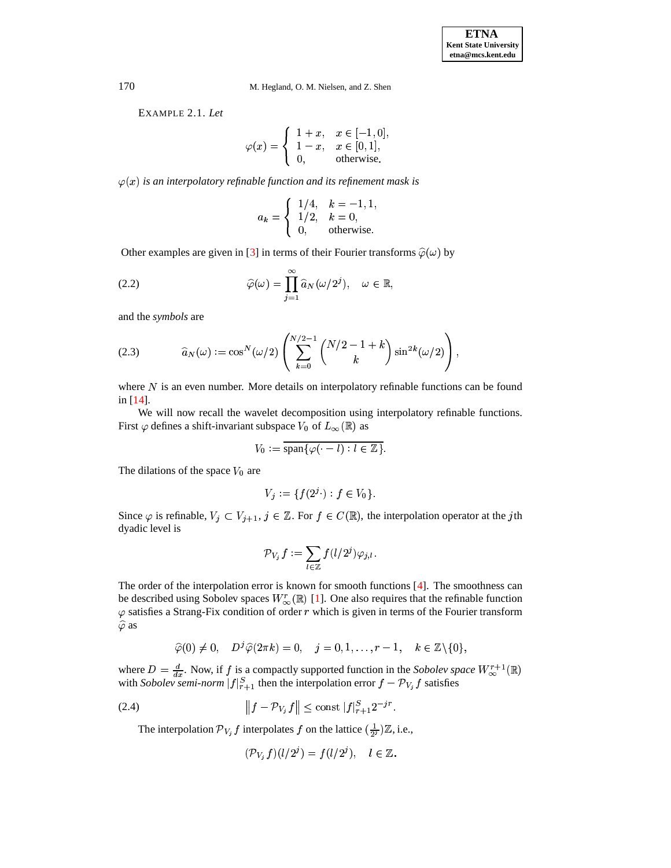EXAMPLE 2.1. *Let*

$$
\varphi(x) = \begin{cases} 1+x, & x \in [-1,0], \\ 1-x, & x \in [0,1], \\ 0, & \text{otherwise.} \end{cases}
$$

 $\varphi(x)$  is an interpolatory refinable function and its refinement mask is

$$
a_k = \begin{cases} 1/4, & k = -1, 1, \\ 1/2, & k = 0, \\ 0, & \text{otherwise.} \end{cases}
$$

Other examples are given in [\[3\]](#page-12-11) in terms of their Fourier transforms  $\hat{\varphi}(\omega)$  by

(2.2) 
$$
\widehat{\varphi}(\omega) = \prod_{j=1}^{\infty} \widehat{a}_N(\omega/2^j), \quad \omega \in \mathbb{R},
$$

<span id="page-2-0"></span>and the *symbols* are

(2.3) 
$$
\widehat{a}_N(\omega) := \cos^N(\omega/2) \left( \sum_{k=0}^{N/2-1} {N/2 - 1 + k \choose k} \sin^{2k}(\omega/2) \right),
$$

where  $N$  is an even number. More details on interpolatory refinable functions can be found in [\[14\]](#page-12-12).

We will now recall the wavelet decomposition using interpolatory refinable functions. First  $\varphi$  defines a shift-invariant subspace  $V_0$  of  $L_\infty(\mathbb{R})$  as

$$
V_0 := \overline{\operatorname{span}\{\varphi(\cdot - l) : l \in \mathbb{Z}\}}.
$$

The dilations of the space  $V_0$  are

$$
V_j := \{ f(2^j \cdot) : f \in V_0 \}.
$$

Since  $\varphi$  is refinable,  $V_i \subset V_{i+1}, j \in \mathbb{Z}$ . For  $f \in C(\mathbb{R})$ , the interpolation operator at the jth dyadic level is

$$
{\mathcal P}_{V_j} \, f := \sum_{l\in \mathbb{Z}} f(l/2^j) \varphi_{j,l}.
$$

The order of the interpolation error is known for smooth functions [\[4\]](#page-12-13). The smoothness can be described using Sobolev spaces  $W_{\infty}^r(\mathbb{R})$  [\[1\]](#page-12-14). One also requires that the refinable function  $\varphi$  satisfies a Strang-Fix condition of order r which is given in terms of the Fourier transform  $\varphi$  satisfies a Strang-Fix condition of order r which is given in terms of the Fourier transform  $\widehat{\varphi}$  as

$$
\widehat{\varphi}(0) \neq 0, \quad D^{j} \widehat{\varphi}(2 \pi k) = 0, \quad j = 0, 1, \ldots, r - 1, \quad k \in \mathbb{Z} \setminus \{0\},
$$

where  $D = \frac{d}{dx}$ . Now, if f is a compactly supported function in the *Sobolev space*  $W^{r+1}_{\infty}(\mathbb{R})$ where  $D = \frac{d}{dx}$ . Now, if f is a compactly supported function in the *Sobolev space*  $W_{\infty}^{r+1}(\mathbb{R})$  with *Sobolev semi-norm*  $|f|_{r+1}^S$  then the interpolation error  $f - \mathcal{P}_{V_j} f$  satisfies

(2.4) 
$$
\|f - \mathcal{P}_{V_j} f\| \le \text{const } |f|_{r+1}^{S} 2^{-jr}.
$$

The interpolation  $\mathcal{P}_{V_j} f$  interpolates f on the lattice  $(\frac{1}{2^j})\mathbb{Z}$ , i.e.,<br>  $(\mathcal{P}_V, f)(l/2^j) = f(l/2^j), \quad l \in \mathbb{Z}$ .

$$
(\mathcal{P}_{V_i}f)(l/2^j) = f(l/2^j), \quad l \in \mathbb{Z}.
$$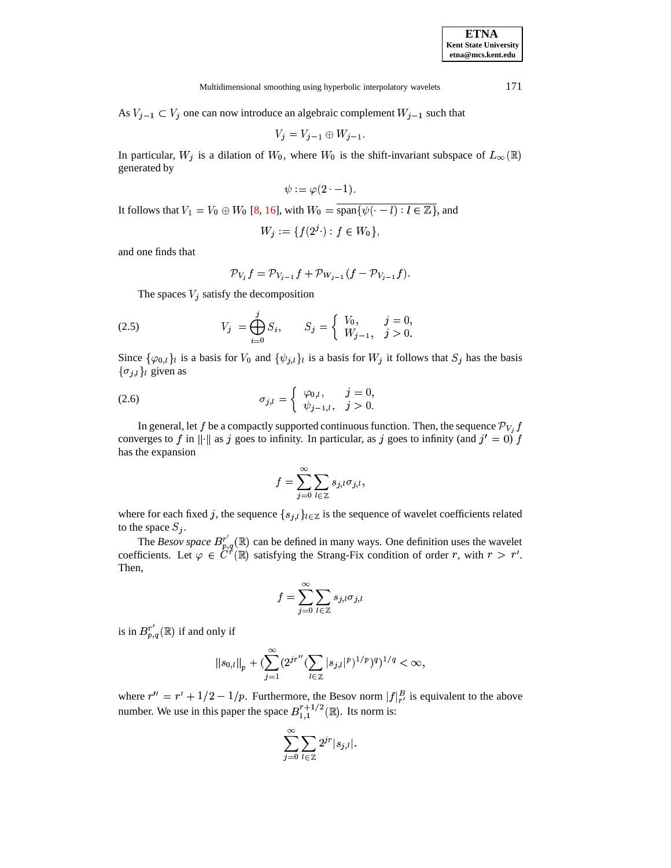Multidimensional smoothing using hyperbolic interpolatory wavelets 171

As  $V_{j-1} \subset V_j$  one can now introduce an algebraic complement  $W_{j-1}$  such that

$$
V_j = V_{j-1} \oplus W_{j-1}.
$$

In particular,  $W_j$  is a dilation of  $W_0$ , where  $W_0$  is the shift-invariant subspace of  $L_\infty(\mathbb{R})$  generated by generated by

$$
\psi := \varphi(2 \cdot -1).
$$

It follows that  $V_1 = V_0 \oplus W_0$  [\[8,](#page-12-4) [16\]](#page-12-15), with  $W_0 = \text{span}\{\psi(\cdot - l) : l \in \mathbb{Z}\}$ , and

$$
W_j := \{ f(2^j \cdot) : f \in W_0 \},\
$$

and one finds that

<span id="page-3-0"></span>
$$
\mathcal{P}_{V_j} f = \mathcal{P}_{V_{j-1}} f + \mathcal{P}_{W_{j-1}} (f - \mathcal{P}_{V_{j-1}} f).
$$

The spaces  $V_i$  satisfy the decomposition

(2.5) 
$$
V_j = \bigoplus_{i=0}^j S_i, \qquad S_j = \begin{cases} V_0, & j = 0, \\ W_{j-1}, & j > 0. \end{cases}
$$

the contract of the contract of the contract of the contract of the contract of the contract of the contract of

Since  $\{\varphi_{0,l}\}\$ is a basis for  $V_0$  and  $\{\psi_{j,l}\}\$ is a basis for  $W_j$  it follows that  $S_j$  has the basis  $\{\sigma_{i,l}\}\$ <sub>l</sub> given as

(2.6) 
$$
\sigma_{j,l} = \begin{cases} \varphi_{0,l}, & j = 0, \\ \psi_{j-1,l}, & j > 0. \end{cases}
$$

In general, let f be a compactly supported continuous function. Then, the sequence  $\mathcal{P}_{V_i}$  f converges to f in  $\|\cdot\|$  as j goes to infinity. In particular, as j goes to infinity (and  $j' = 0$ ) f has the expansion

$$
f=\sum_{j=0}^\infty \sum_{l\,in {\mathbb Z}} s_{j,l} \sigma_{j,l},
$$

where for each fixed j, the sequence  $\{s_{i,l}\}_{l\in\mathbb{Z}}$  is the sequence of wavelet coefficients related to the space  $S_i$ .

The *Besov space*  $B_{n,q}^r(\mathbb{R})$  can be defined in many ways. One definition uses the wavelet coefficients. Let  $\varphi \in C^r(\mathbb{R})$  satisfying the Strang-Fix condition of order r, with  $r > r'$ . Then,

$$
f=\sum_{j=0}^\infty \sum_{l\in\mathbb{Z}} s_{j,l}\sigma_{j,l}
$$

is in  $B_{n,q}^{r'}(\mathbb{R})$  if and only if

$$
||s_{0,l}||_p + (\sum_{j=1}^{\infty} (2^{jr''} (\sum_{l \in \mathbb{Z}} |s_{j,l}|^p)^{1/p})^q)^{1/q} < \infty,
$$

where  $r'' = r' + 1/2 - 1/p$ . Furthermore, the Besov norm  $|f|_{r'}^B$  is equivalent to the above number. We use in this paper the space  $B_{1,1}^{r+1/2}(\mathbb{R})$ . Its norm is:

$$
\sum_{j=0}^{\infty} \sum_{l \in \mathbb{Z}} 2^{jr} |s_{j,l}|.
$$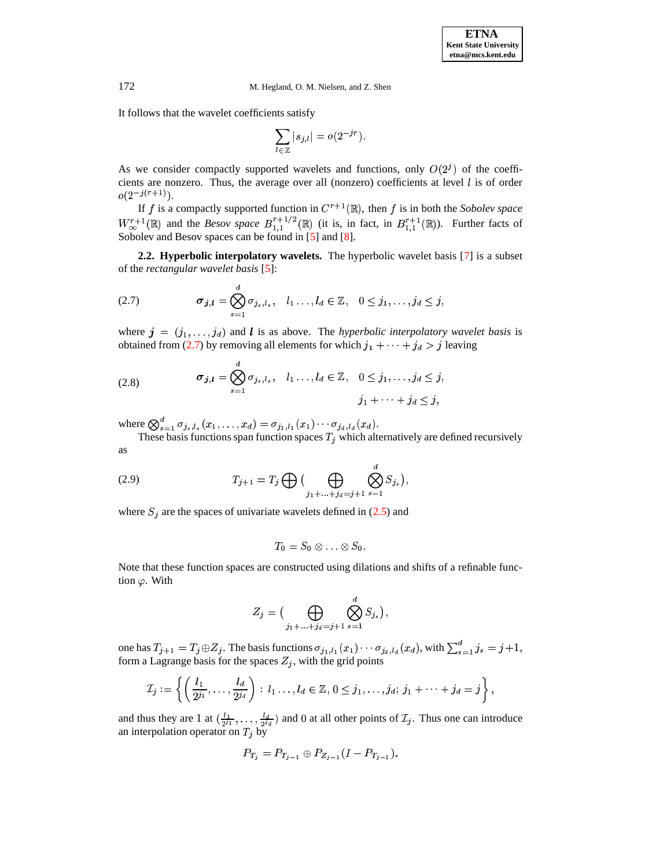It follows that the wavelet coefficients satisfy

$$
\sum_{l\in\mathbb{Z}}|s_{j,l}|=o(2^{-jr}).
$$

As we consider compactly supported wavelets and functions, only  $O(2<sup>j</sup>)$  of the coefficients are nonzero. Thus, the average over all (nonzero) coefficients at level  $l$  is of order  $o(2^{-j(r+1)})$ .

If f is a compactly supported function in  $C^{r+1}(\mathbb{R})$ , then f is in both the *Sobolev space*  $W^{r+1}_{\infty}(\mathbb{R})$  and the (R) and the *Besov space*  $B_{1,1}^{r+1/2}(\mathbb{R})$  (it i  $\sim$   $\sim$   $\sim$   $\sim$   $\sim$   $\sim$ **A A**  $L_1^{1/2}(\mathbb{R})$  (it is, in fact, in  $B_{1,1}^{r+1}(\mathbb{R})$ ). Fur **All Services**  $L_1^{+1}(\mathbb{R})$ ). Further facts of Sobolev and Besov spaces can be found in [\[5\]](#page-12-3) and [\[8\]](#page-12-4).

**2.2. Hyperbolic interpolatory wavelets.** The hyperbolic wavelet basis [\[7\]](#page-12-6) is a subset of the *rectangular wavelet basis* [\[5\]](#page-12-3):

$$
(2.7) \t\t \sigma_{j,l} = \bigotimes_{s=1}^a \sigma_{j_s,l_s}, \quad l_1 \ldots, l_d \in \mathbb{Z}, \quad 0 \leq j_1, \ldots, j_d \leq j,
$$

<span id="page-4-0"></span>200 and 200 million control and 200 million control and 200 million control and 200 million

where  $\mathbf{j} = (j_1, \ldots, j_d)$  and l is as above. The *hyperbolic interpolatory wavelet basis* is obtained from [\(2.7\)](#page-4-0) by removing all elements for which  $j_1 + \cdots + j_d > j$  leaving

(2.8) 
$$
\sigma_{j,l} = \bigotimes_{s=1}^d \sigma_{j_s,l_s}, \quad l_1 \ldots, l_d \in \mathbb{Z}, \quad 0 \leq j_1, \ldots, j_d \leq j, \quad j_1 + \cdots + j_d \leq j,
$$

where  $\bigotimes_{s=1}^{d} \sigma_{j_s, l_s}(x_1, \ldots, x_d) = \sigma_{j_1, l_1}(x_1) \cdots \sigma_{j_d, l_d}(x_d).$ 

<span id="page-4-1"></span>These basis functions span function spaces  $T_i$  which alternatively are defined recursively as

 $2.22$  and  $2.22$  and  $2.22$  and  $2.22$  and  $2.22$  and  $2.22$  and  $2.22$  and  $2.22$  and  $2.22$  and  $2.22$  and  $2.22$  and  $2.22$  and  $2.22$  and  $2.22$  and  $2.22$  and  $2.22$  and  $2.22$  and  $2.22$  and  $2.22$  and  $2.22$  and

(2.9) 
$$
T_{j+1} = T_j \bigoplus \big( \bigoplus_{j_1 + ... + j_d = j+1} \bigotimes_{s=1}^d S_{j_s} \big),
$$

where  $S_i$  are the spaces of univariate wavelets defined in [\(2.5\)](#page-3-0) and

$$
T_0=S_0\otimes\ldots\otimes S_0.
$$

Note that these function spaces are constructed using dilations and shifts of a refinable function  $\varphi$ . With

$$
Z_j = \big( \bigoplus_{j_1 + \ldots + j_d = j+1} \bigotimes_{s=1}^d S_{j_s} \big),
$$

one has  $T_{j+1} = T_j \oplus Z_j$ . The basis functions  $\sigma_{j_1, l_1}(x_1) \cdots \sigma_{j_d, l_d}(x_d)$ , with  $\sum_{s=1}^d j_s = j+1$ ,  $S_{s=1}^d j_s = j+1,$ form a Lagrange basis for the spaces  $Z_i$ , with the grid points

$$
\mathcal{I}_j := \left\{ \left( \frac{l_1}{2^{j_1}}, \ldots, \frac{l_d}{2^{j_d}} \right) : l_1 \ldots, l_d \in \mathbb{Z}, 0 \leq j_1, \ldots, j_d; j_1 + \cdots + j_d = j \right\},\
$$

and thus they are 1 at  $(\frac{l_1}{2i_1},\ldots,\frac{l_d}{2i_d})$  and 0 at all other points of  $\mathcal{I}_i$ . Thus one can introduce an interpolation operator on  $T_j$  by

$$
P_{T_j} = P_{T_{j-1}} \oplus P_{Z_{j-1}} (I - P_{T_{j-1}}).
$$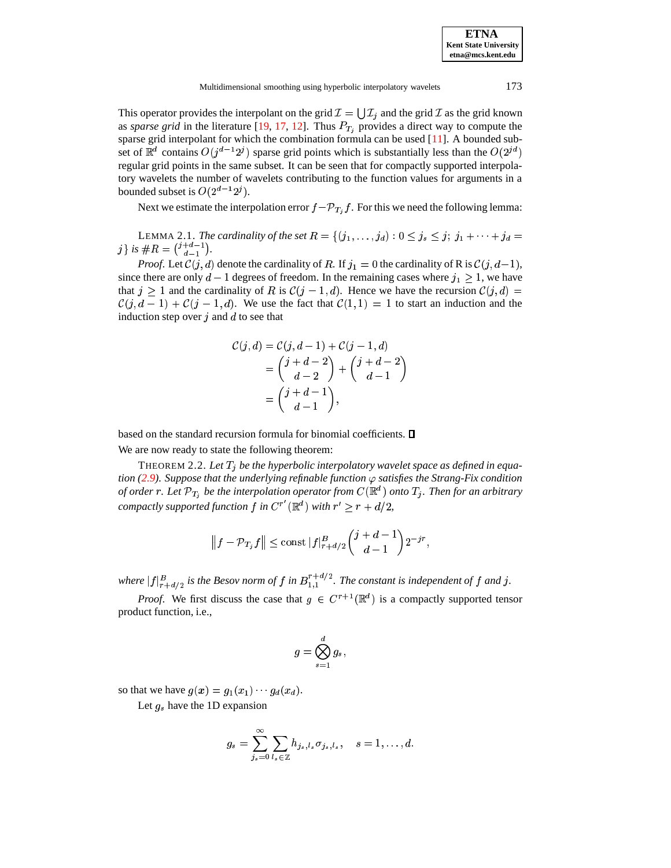This operator provides the interpolant on the grid  $\mathcal{I} = \bigcup \mathcal{I}_i$  and the grid  $\mathcal{I}$  as the grid known as *sparse grid* in the literature [\[19,](#page-12-10) [17,](#page-12-16) [12\]](#page-12-17). Thus  $P_{T_i}$  provides a direct way to compute the sparse grid interpolant for which the combination formula can be used [\[11\]](#page-12-8). A bounded subset of  $\mathbb{R}^d$  contains  $O(j^{d-1}2^j)$  sparse  $(1-12^j)$  sparse grid points which is substantially less than the  $O(2^{jd})$ regular grid points in the same subset. It can be seen that for compactly supported interpolatory wavelets the number of wavelets contributing to the function values for arguments in a bounded subset is  $O(2^{d-1}2^j)$ .

nded subset is  $O(2^{d-1}2^j)$ .<br>Next we estimate the interpolation error  $f - \mathcal{P}_{T_i} f$ . For this we  $T_i f$ . For this we need the following lemma:

<span id="page-5-0"></span>LEMMA 2.1. *The cardinality of the set*  $R = \{(j_1, \ldots, j_d) : 0 \le j_s \le j; j_1 + \cdots + j_d =$  $j\}$  is  $\#R = \binom{j+d-1}{d-1}$ .

*Proof.* Let  $C(j, d)$  denote the cardinality of R. If  $j_1 = 0$  the cardinality of R is  $C(j, d-1)$ , since there are only  $d-1$  degrees of freedom. In the remaining cases where  $j_1 \geq 1$ , we have that  $j \ge 1$  and the cardinality of R is  $\mathcal{C}(j-1,d)$ . Hence we have the recursion  $\mathcal{C}(j,d)$  =  $\mathcal{C}(j,d-1) + \mathcal{C}(j-1,d)$ . We use the fact that  $\mathcal{C}(1,1) = 1$  to start an induction and the induction step over  $j$  and  $d$  to see that

$$
\mathcal{C}(j,d) = \mathcal{C}(j,d-1) + \mathcal{C}(j-1,d)
$$
  
= 
$$
\binom{j+d-2}{d-2} + \binom{j+d-2}{d-1}
$$
  
= 
$$
\binom{j+d-1}{d-1},
$$

based on the standard recursion formula for binomial coefficients.  $\square$ We are now ready to state the following theorem:

THEOREM 2.2. Let  $T_i$  be the hyperbolic interpolatory wavelet space as defined in equa*tion [\(2.9\)](#page-4-1). Suppose that the underlying refinable function satisfies the Strang-Fix condition tion (2.9). Suppose that the unde.*<br>*of order r. Let*  $\mathcal{P}_{T_i}$  *be the interpo*  $_{T_i}$  be the interpolation operator from  $C(\mathbb{R}^d)$  onto  $T_j.$  Then for an arbitrary *compactly* supported function  $f$  in  $C^{r'}(\mathbb{R}^d)$  with  $r' \geq r + d/2$ ,

$$
||f - \mathcal{P}_{T_j} f|| \le \text{const } |f|_{r+d/2}^B \binom{j+d-1}{d-1} 2^{-jr},
$$

where  $|f|_{r+d/2}^B$  is the Besov norm of  $f$  in  $B_{1,1}^{r+d/2}$ . The constant is independent of  $f$  and  $j$ .

*Proof.* We first discuss the case that  $g \in C^{r+1}(\mathbb{R}^d)$  is a compact  $^d$ ) is a compactly supported tensor product function, i.e.,

$$
g=\bigotimes_{s=1}^d g_s,
$$

 $2<sup>2</sup>$ 

so that we have  $g(x) = g_1(x_1) \cdots g_d(x_d)$ .

Let  $g_s$  have the 1D expansion

$$
g_s = \sum_{j_s=0}^{\infty} \sum_{l_s \in \mathbb{Z}} h_{j_s,l_s} \sigma_{j_s,l_s}, \quad s = 1,\ldots,d.
$$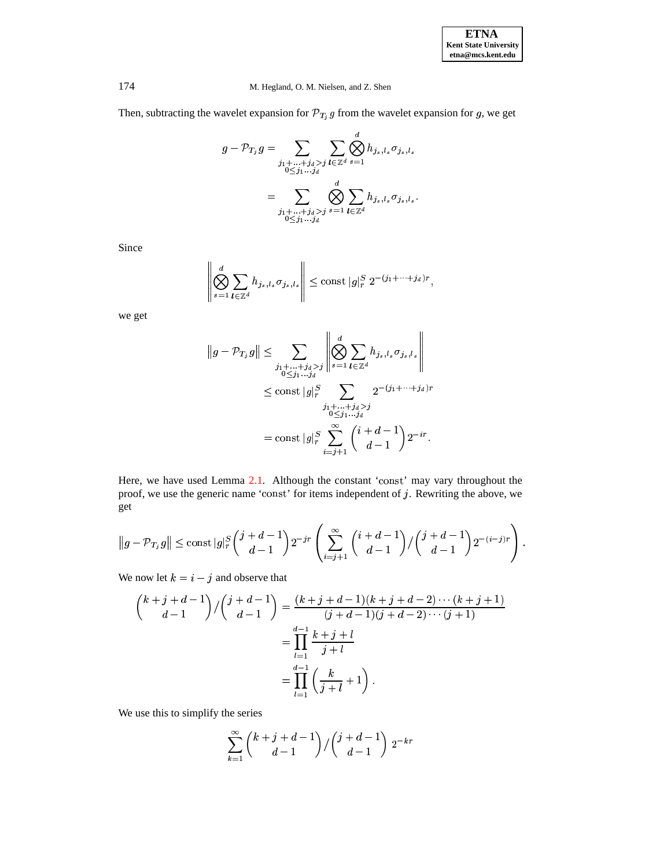Then, subtracting the wavelet expansion for  $\mathcal{P}_{T_i}$  g from the wa  $T_i$  g from the wavelet expansion for g, we get

$$
g - \mathcal{P}_{T_j} g = \sum_{\substack{j_1 + \ldots + j_d > j \\ 0 \leq j_1 \ldots j_d}} \sum_{l \in \mathbb{Z}^d} \bigotimes_{s=1}^d h_{j_s, l_s} \sigma_{j_s, l_s}
$$
  
= 
$$
\sum_{\substack{j_1 + \ldots + j_d > j \\ 0 \leq j_1 \ldots j_d}} \bigotimes_{s=1}^d \sum_{l \in \mathbb{Z}^d} h_{j_s, l_s} \sigma_{j_s, l_s}.
$$

Since

$$
\left\|\bigotimes_{s=1}^d \sum_{\boldsymbol{l}\in\mathbb{Z}^d} h_{j_s,l_s}\sigma_{j_s,l_s}\right\|\leq \text{const } |g|_r^S 2^{-(j_1+\cdots+j_d)r},
$$

we get

$$
||g - \mathcal{P}_{T_j} g|| \leq \sum_{\substack{j_1 + \dots + j_d > j \\ 0 \leq j_1 \dots j_d}} \left\| \bigotimes_{s=1}^d \sum_{l \in \mathbb{Z}^d} h_{j_s, l_s} \sigma_{j_s, l_s} \right\|
$$
  

$$
\leq \text{const } |g|_r^S \sum_{\substack{j_1 + \dots + j_d > j \\ 0 \leq j_1 \dots j_d}} 2^{-(j_1 + \dots + j_d)r}
$$
  

$$
= \text{const } |g|_r^S \sum_{i=j+1}^\infty {i + d - 1 \choose d - 1} 2^{-ir}.
$$

Here, we have used Lemma [2.1.](#page-5-0) Although the constant 'const' may vary throughout the proof, we use the generic name 'const' for items independent of  $j$ . Rewriting the above, we get

$$
\|g-\mathcal{P}_{T_j}g\|\le\operatorname{const}|g|_r^S\binom{j+d-1}{d-1}2^{-jr}\left(\sum_{i=j+1}^\infty\binom{i+d-1}{d-1}/\binom{j+d-1}{d-1}2^{-(i-j)r}\right).
$$

We now let  $k = i - j$  and observe that

$$
\binom{k+j+d-1}{d-1} / \binom{j+d-1}{d-1} = \frac{(k+j+d-1)(k+j+d-2)\cdots(k+j+1)}{(j+d-1)(j+d-2)\cdots(j+1)}
$$

$$
= \prod_{l=1}^{d-1} \frac{k+j+l}{j+l}
$$

$$
= \prod_{l=1}^{d-1} \left(\frac{k}{j+l}+1\right).
$$

We use this to simplify the series

$$
\sum_{k=1}^{\infty} \binom{k+j+d-1}{d-1} / \binom{j+d-1}{d-1} 2^{-kr}
$$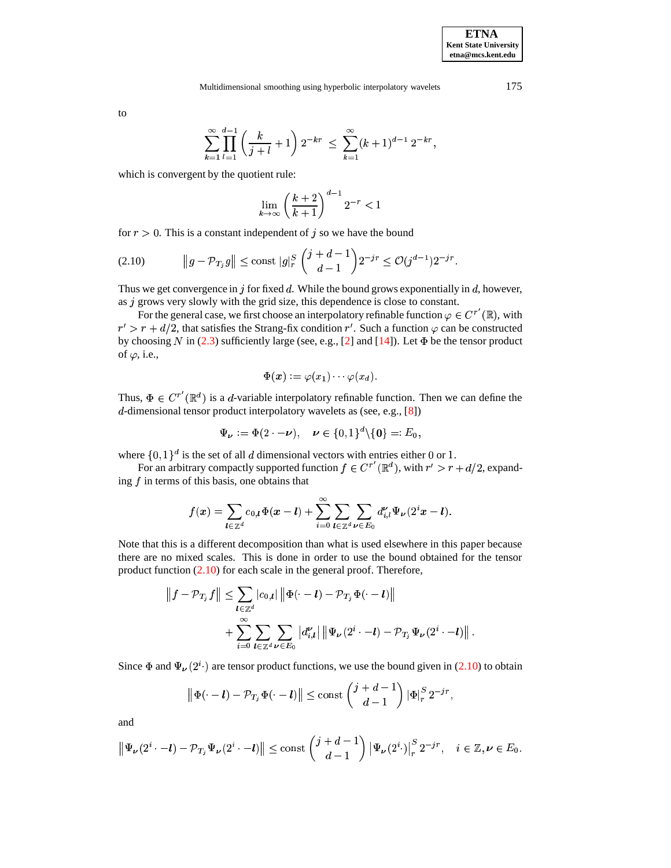to

$$
\sum_{k=1}^{\infty} \prod_{l=1}^{d-1} \left( \frac{k}{j+l} + 1 \right) 2^{-kr} \leq \sum_{k=1}^{\infty} (k+1)^{d-1} 2^{-kr},
$$

which is convergent by the quotient rule:

<span id="page-7-0"></span>
$$
\lim_{k \to \infty} \left( \frac{k+2}{k+1} \right)^{d-1} 2^{-r} < 1
$$

for  $r > 0$ . This is a constant independent of j so we have the bound

$$
(2.10) \t\t ||g - \mathcal{P}_{T_j} g|| \le \text{const } |g|_r^S \left(\begin{array}{c} j+d-1 \\ d-1 \end{array}\right) 2^{-jr} \le \mathcal{O}(j^{d-1}) 2^{-jr}.
$$

Thus we get convergence in  $j$  for fixed  $d$ . While the bound grows exponentially in  $d$ , however, as  $j$  grows very slowly with the grid size, this dependence is close to constant.

For the general case, we first choose an interpolatory refinable function  $\varphi \in C^{r'}(\mathbb{R})$ , with  $r' > r + d/2$ , that satisfies the Strang-fix condition r'. Such a function  $\varphi$  can be constructed by choosing N in [\(2.3\)](#page-2-0) sufficiently large (see, e.g., [\[2\]](#page-12-18) and [\[14\]](#page-12-12)). Let  $\Phi$  be the tensor product of  $\varphi$ , i.e.,

$$
\Phi(\boldsymbol{x}):=\varphi(x_1)\cdots\varphi(x_d).
$$

Thus,  $\Phi \in C^{r'}(\mathbb{R}^d)$  is a d-variable interpolatory refinable function. Then we can define the  $d$ -dimensional tensor product interpolatory wavelets as (see, e.g., [\[8\]](#page-12-4))

$$
\Psi_{\boldsymbol{\nu}} := \Phi(2 \cdot - \boldsymbol{\nu}), \quad \boldsymbol{\nu} \in \{0,1\}^d \backslash \{\boldsymbol{0}\} =: E_0,
$$

where  $\{0,1\}^d$  is the set of all d dimensional vectors with entries either 0 or 1.

For an arbitrary compactly supported function  $f \in C^{r'}(\mathbb{R}^d)$ , with  $r' > r + d/2$ , expanding  $f$  in terms of this basis, one obtains that

$$
f(\boldsymbol{x}) = \sum_{\boldsymbol{l} \in \mathbb{Z}^d} c_{0,\boldsymbol{l}} \Phi(\boldsymbol{x} - \boldsymbol{l}) + \sum_{i=0}^{\infty} \sum_{\boldsymbol{l} \in \mathbb{Z}^d} \sum_{\boldsymbol{\nu} \in E_0} d_{i,l}^{\boldsymbol{\nu}} \Psi_{\boldsymbol{\nu}}(2^i \boldsymbol{x} - \boldsymbol{l}).
$$

Note that this is a different decomposition than what is used elsewhere in this paper because there are no mixed scales. This is done in order to use the bound obtained for the tensor product function  $(2.10)$  for each scale in the general proof. Therefore,

$$
\|f - \mathcal{P}_{T_j} f\| \leq \sum_{l \in \mathbb{Z}^d} |c_{0,l}| \|\Phi(\cdot - l) - \mathcal{P}_{T_j} \Phi(\cdot - l)\| + \sum_{i=0}^{\infty} \sum_{l \in \mathbb{Z}^d} \sum_{\nu \in E_0} |d'_{i,l}| \|\Psi_{\nu}(2^i \cdot - l) - \mathcal{P}_{T_j} \Psi_{\nu}(2^i \cdot - l)\|.
$$

Since  $\Phi$  and  $\Psi_{\nu}(2^{i})$  are tensor product functions, we use the bound given in [\(2.10\)](#page-7-0) to obtain

$$
\left\|\Phi(\cdot-l)-\mathcal{P}_{T_j}\Phi(\cdot-l)\right\|\leq \mathrm{const} \left(\begin{matrix}j+d-1\\d-1\end{matrix}\right) |\Phi|_r^S \, 2^{-jr},
$$

and

$$
\left\| \Psi_{\nu}(2^i \cdot -l) - \mathcal{P}_{T_j} \Psi_{\nu}(2^i \cdot -l) \right\| \leq \mathrm{const} \left( \frac{j+d-1}{d-1} \right) \left| \Psi_{\nu}(2^i \cdot) \right|_r^S 2^{-jr}, \quad i \in \mathbb{Z}, \nu \in E_0.
$$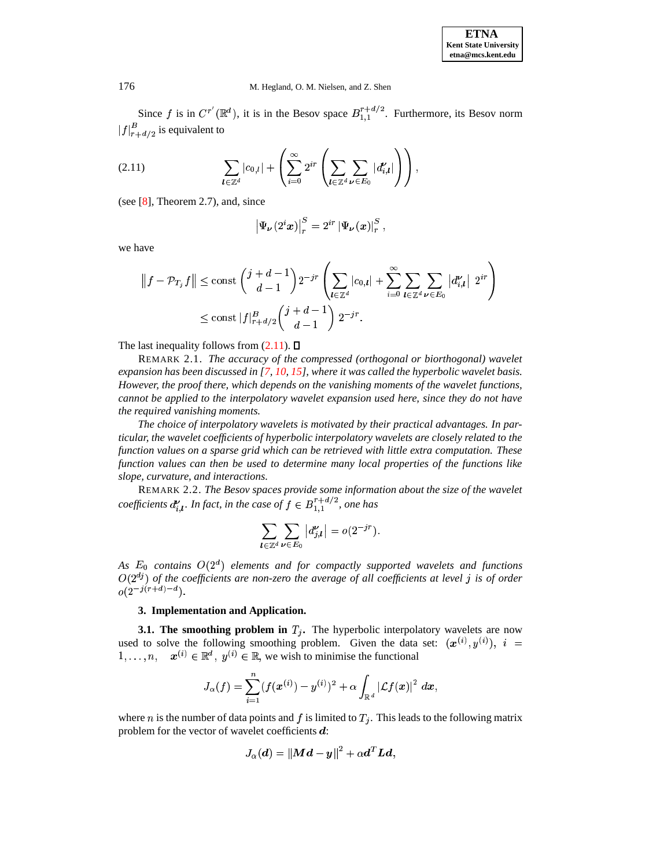<span id="page-8-0"></span>Since f is in  $C^{r'}(\mathbb{R}^d)$ , it is in the Besov space  $B_{1,1}^{r+d/2}$ . Furthermore, its Besov norm  $|f|_{r+d/2}^P$  is equivalent to

$$
(2.11) \qquad \qquad \sum_{\boldsymbol{l}\in\mathbb{Z}^d} |c_{0,\boldsymbol{l}}| + \left(\sum_{i=0}^{\infty} 2^{ir} \left(\sum_{\boldsymbol{l}\in\mathbb{Z}^d} \sum_{\boldsymbol{\nu}\in E_0} |d_{i,\boldsymbol{l}}^{\boldsymbol{\nu}}|\right)\right),
$$

(see [\[8\]](#page-12-4), Theorem 2.7), and, since

$$
\left|\Psi_{\boldsymbol{\nu}}(2^i x)\right|_r^S=2^{ir}\left|\Psi_{\boldsymbol{\nu}}(x)\right|_r^S,
$$

we have

$$
||f - \mathcal{P}_{T_j} f|| \le \text{const} \left( \frac{j+d-1}{d-1} \right) 2^{-jr} \left( \sum_{l \in \mathbb{Z}^d} |c_{0,l}| + \sum_{i=0}^{\infty} \sum_{l \in \mathbb{Z}^d} \sum_{\nu \in E_0} |d'_{i,l}| \ 2^{ir} \right)
$$
  

$$
\le \text{const} \ |f|_{r+d/2}^B \left( \frac{j+d-1}{d-1} \right) 2^{-jr}.
$$

The last inequality follows from  $(2.11)$ .  $\Box$ 

REMARK 2.1. *The accuracy of the compressed (orthogonal or biorthogonal) wavelet expansion has been discussed in [\[7,](#page-12-6) [10,](#page-12-7) [15\]](#page-12-9), where it was called the hyperbolic wavelet basis. However, the proof there, which depends on the vanishing moments of the wavelet functions, cannot be applied to the interpolatory wavelet expansion used here, since they do not have the required vanishing moments.*

*The choice of interpolatory wavelets is motivated by their practical advantages. In particular, the wavelet coefficients of hyperbolic interpolatory wavelets are closely related to the function values on a sparse grid which can be retrieved with little extra computation. These function values can then be used to determine many local properties of the functions like slope, curvature, and interactions.*

REMARK 2.2. *The Besov spaces provide some information about the size of the wavelet coefficients*  $d_{i,l}^{\nu}$ *. In fact,*  $A<sub>I</sub>$ . In fact, in the case of  $f \in B_{1,1}^{r+d/2}$ , one has

$$
\sum_{\bm{l}\in\mathbb{Z}^d}\sum_{\bm{\nu}\in E_0}\left|d_{j,\bm{l}}^{\bm{\nu}}\right|=o(2^{-jr}).
$$

As  $E_0$  contains  $O(2^d)$  elements and for compactly supported wavelets and functions  $O(2^{dj})$  of the coefficients are non-zero the average of all coefficients at level  $j$  is of order  $o(2^{-j(r+d)-d}).$ 

## **3. Implementation and Application.**

<span id="page-8-1"></span>**3.1.** The smoothing problem in  $T_i$ . The hyperbolic interpolatory wavelets are now used to solve the following smoothing problem. Given the data set:  $(\mathbf{x}^{(i)}, y^{(i)})$ ,  $i =$  $x, \ldots, n, \quad x^{(i)} \in \mathbb{R}^d, y^{(i)} \in \mathbb{R}$ , we wish to minimise the functional

$$
J_{\alpha}(f)=\sum_{i=1}^n(f(\pmb{x}^{(i)})-y^{(i)})^2+\alpha\int_{\mathbb{R}^d} \left|\mathcal{L}f(\pmb{x})\right|^2 \,d\pmb{x},
$$

where *n* is the number of data points and f is limited to  $T_i$ . This leads to the following matrix problem for the vector of wavelet coefficients  $\boldsymbol{d}$ :

$$
J_{\alpha}(\boldsymbol{d})=\|\boldsymbol{M}\boldsymbol{d}-\boldsymbol{y}\|^2+\alpha\boldsymbol{d}^T\boldsymbol{L}\boldsymbol{d},
$$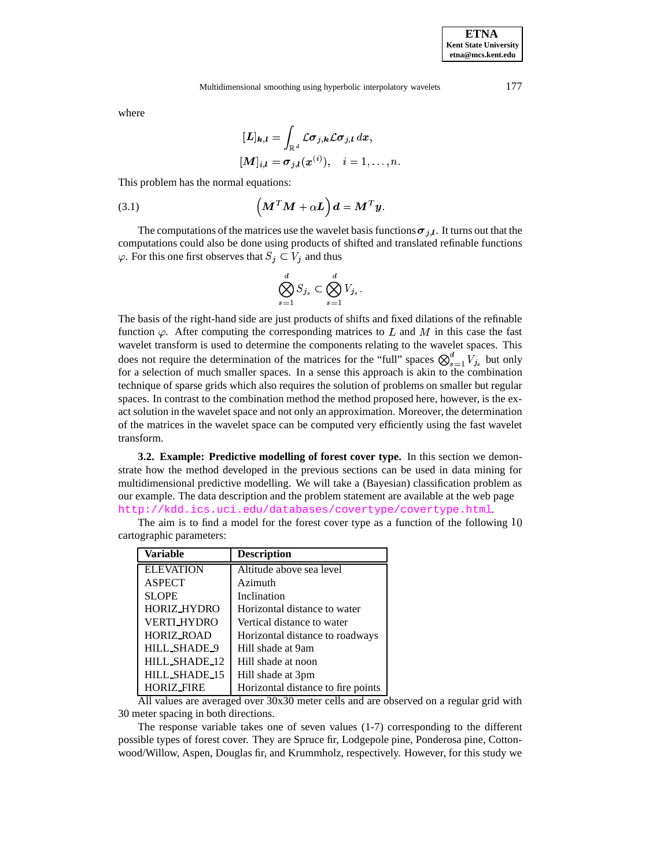### Multidimensional smoothing using hyperbolic interpolatory wavelets 177

where

$$
[\mathbf{L}]_{\mathbf{k},l} = \int_{\mathbb{R}^d} \mathcal{L} \sigma_{j,\mathbf{k}} \mathcal{L} \sigma_{j,l} dx, [\mathbf{M}]_{i,l} = \sigma_{j,l}(x^{(i)}), \quad i = 1, \ldots, n.
$$

This problem has the normal equations:

(3.1) 
$$
\left(\boldsymbol{M}^T \boldsymbol{M} + \alpha \boldsymbol{L}\right) \boldsymbol{d} = \boldsymbol{M}^T \boldsymbol{y}.
$$

The computations of the matrices use the wavelet basis functions  $\sigma_{i,l}$ . It turns out that the computations could also be done using products of shifted and translated refinable functions  $\varphi$ . For this one first observes that  $S_i \subset V_i$  and thus

$$
\bigotimes_{s=1}^d S_{j_s} \subset \bigotimes_{s=1}^d V_{j_s}.
$$

The basis of the right-hand side are just products of shifts and fixed dilations of the refinable function  $\varphi$ . After computing the corresponding matrices to L and M in this case the fast wavelet transform is used to determine the components relating to the wavelet spaces. This does not require the determination of the matrices for the "full" spaces  $\bigotimes_{s=1}^{a} V_{j_s}$  but only  $2<sup>2</sup>$ for a selection of much smaller spaces. In a sense this approach is akin to the combination technique of sparse grids which also requires the solution of problems on smaller but regular spaces. In contrast to the combination method the method proposed here, however, is the exact solution in the wavelet space and not only an approximation. Moreover, the determination of the matrices in the wavelet space can be computed very efficiently using the fast wavelet transform.

**3.2. Example: Predictive modelling of forest cover type.** In this section we demonstrate how the method developed in the previous sections can be used in data mining for multidimensional predictive modelling. We will take a (Bayesian) classification problem as our example. The data description and the problem statement are available at the web page <http://kdd.ics.uci.edu/databases/covertype/covertype.html>.

The aim is to find a model for the forest cover type as a function of the following 10 cartographic parameters:

| Variable           | <b>Description</b>                 |
|--------------------|------------------------------------|
| <b>ELEVATION</b>   | Altitude above sea level           |
| <b>ASPECT</b>      | Azimuth                            |
| <b>SLOPE</b>       | Inclination                        |
| HORIZ_HYDRO        | Horizontal distance to water       |
| <b>VERTI_HYDRO</b> | Vertical distance to water         |
| <b>HORIZ_ROAD</b>  | Horizontal distance to roadways    |
| HILL_SHADE_9       | Hill shade at 9am                  |
| HILL_SHADE_12      | Hill shade at noon                 |
| HILL_SHADE_15      | Hill shade at 3pm                  |
| <b>HORIZ_FIRE</b>  | Horizontal distance to fire points |

All values are averaged over 30x30 meter cells and are observed on a regular grid with 30 meter spacing in both directions.

The response variable takes one of seven values (1-7) corresponding to the different possible types of forest cover. They are Spruce fir, Lodgepole pine, Ponderosa pine, Cottonwood/Willow, Aspen, Douglas fir, and Krummholz, respectively. However, for this study we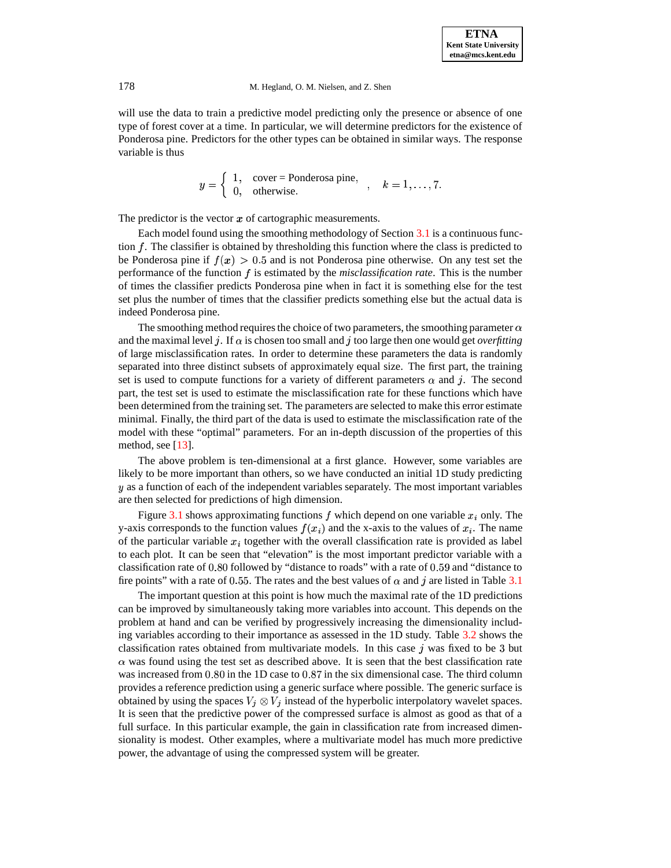will use the data to train a predictive model predicting only the presence or absence of one type of forest cover at a time. In particular, we will determine predictors for the existence of Ponderosa pine. Predictors for the other types can be obtained in similar ways. The response variable is thus

> $\mathbf{u} = \mathbf{v}$  .  $\int 1$ , cover = Ponderosa pine, 1, cover – I onderosa pine,  $k = 1, \ldots, 7$ .<br>0, otherwise. ) +!+ + ) <sup>+</sup>

The predictor is the vector  $x$  of cartographic measurements.

Each model found using the smoothing methodology of Section [3.1](#page-8-1) is a continuous function  $f$ . The classifier is obtained by thresholding this function where the class is predicted to be Ponderosa pine if  $f(x) > 0.5$  and is not Ponderosa pine otherwise. On any test set the performance of the function f is estimated by the *misclassification rate*. This is the number of times the classifier predicts Ponderosa pine when in fact it is something else for the test set plus the number of times that the classifier predicts something else but the actual data is indeed Ponderosa pine.

The smoothing method requires the choice of two parameters, the smoothing parameter  $\alpha$ and the maximal level j. If  $\alpha$  is chosen too small and j too large then one would get *overfitting* of large misclassification rates. In order to determine these parameters the data is randomly separated into three distinct subsets of approximately equal size. The first part, the training set is used to compute functions for a variety of different parameters  $\alpha$  and  $j$ . The second part, the test set is used to estimate the misclassification rate for these functions which have been determined from the training set. The parameters are selected to make this error estimate minimal. Finally, the third part of the data is used to estimate the misclassification rate of the model with these "optimal" parameters. For an in-depth discussion of the properties of this method, see [\[13\]](#page-12-0).

The above problem is ten-dimensional at a first glance. However, some variables are likely to be more important than others, so we have conducted an initial 1D study predicting  $y$  as a function of each of the independent variables separately. The most important variables are then selected for predictions of high dimension.

Figure 3.1 shows approximating functions f which depend on one variable  $x_i$  only. The <sup>7</sup> Figure 3.1 shows approximating functions  $f$  which depend on one variable  $x_i$  only. The y-axis corresponds to the function values  $f(x_i)$  and the x-axis to the values of  $x_i$ . The name of the particular variable  $x_i$  together with the overall classification rate is provided as label to each plot. It can be seen that "elevation" is the most important predictor variable with a classification rate of  $0.80$  followed by "distance to roads" with a rate of  $0.59$  and "distance to fire points" with a rate of 0.55. The rates and the best values of  $\alpha$  and j are listed in Table [3.1](#page-11-1)

The important question at this point is how much the maximal rate of the 1D predictions can be improved by simultaneously taking more variables into account. This depends on the problem at hand and can be verified by progressively increasing the dimensionality including variables according to their importance as assessed in the 1D study. Table [3.2](#page-11-2) shows the classification rates obtained from multivariate models. In this case  $\dot{\gamma}$  was fixed to be 3 but  $\alpha$  was found using the test set as described above. It is seen that the best classification rate was increased from  $0.80$  in the 1D case to  $0.87$  in the six dimensional case. The third column provides a reference prediction using a generic surface where possible. The generic surface is obtained by using the spaces  $V_j \otimes V_j$  instead of the hyperbolic interpolatory wavelet spaces. It is seen that the predictive power of the compressed surface is almost as good as that of a full surface. In this particular example, the gain in classification rate from increased dimensionality is modest. Other examples, where a multivariate model has much more predictive power, the advantage of using the compressed system will be greater.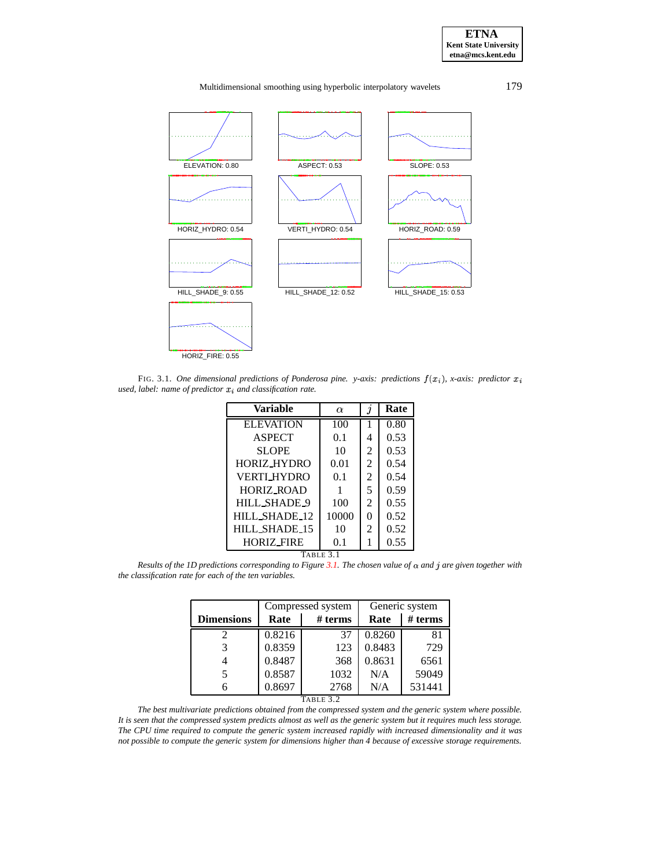Multidimensional smoothing using hyperbolic interpolatory wavelets 179



<span id="page-11-0"></span>FIG. 3.1. *One* dimensional predictions of Ponderosa pine. y-axis: predictions  $f(x_i)$ , x-axis: predictor  $x_i$ *used, label: name of predictor and classification rate.*

| Variable           | $\alpha$ | $\jmath$       | Rate |  |  |
|--------------------|----------|----------------|------|--|--|
| <b>ELEVATION</b>   | 100      |                | 0.80 |  |  |
| <b>ASPECT</b>      | 0.1      | 4              | 0.53 |  |  |
| <b>SLOPE</b>       | 10       | 2              | 0.53 |  |  |
| HORIZ HYDRO        | 0.01     | $\mathfrak{D}$ | 0.54 |  |  |
| <b>VERTI HYDRO</b> | 0.1      | 2              | 0.54 |  |  |
| <b>HORIZ ROAD</b>  |          | 5              | 0.59 |  |  |
| HILL_SHADE_9       | 100      | $\mathfrak{D}$ | 0.55 |  |  |
| HILL_SHADE_12      | 10000    | $\Omega$       | 0.52 |  |  |
| HILL_SHADE_15      | 10       | 2              | 0.52 |  |  |
| <b>HORIZ_FIRE</b>  | 0.1      |                | 0.55 |  |  |
| TABLE 3.1          |          |                |      |  |  |

<span id="page-11-1"></span>Results of the 1D predictions corresponding to Figure [3.1.](#page-11-0) The chosen value of  $\alpha$  and j are given together with *the classification rate for each of the ten variables.*

|                   | Compressed system |                                   | Generic system |         |
|-------------------|-------------------|-----------------------------------|----------------|---------|
| <b>Dimensions</b> | Rate              | # terms                           | Rate           | # terms |
| 2                 | 0.8216            | 37                                | 0.8260         | 81      |
| 3                 | 0.8359            | 123                               | 0.8483         | 729     |
| 4                 | 0.8487            | 368                               | 0.8631         | 6561    |
| 5                 | 0.8587            | 1032                              | N/A            | 59049   |
| 6                 | 0.8697            | 2768<br>$T_{\rm A}$ pr $\sim$ 2.2 | N/A            | 531441  |

TABLE 3.2

<span id="page-11-2"></span>*The best multivariate predictions obtained from the compressed system and the generic system where possible.* It is seen that the compressed system predicts almost as well as the generic system but it requires much less storage. The CPU time required to compute the generic system increased rapidly with increased dimensionality and it was not possible to compute the generic system for dimensions higher than 4 because of excessive storage requirements.

**ETNA Kent State University etna@mcs.kent.edu**